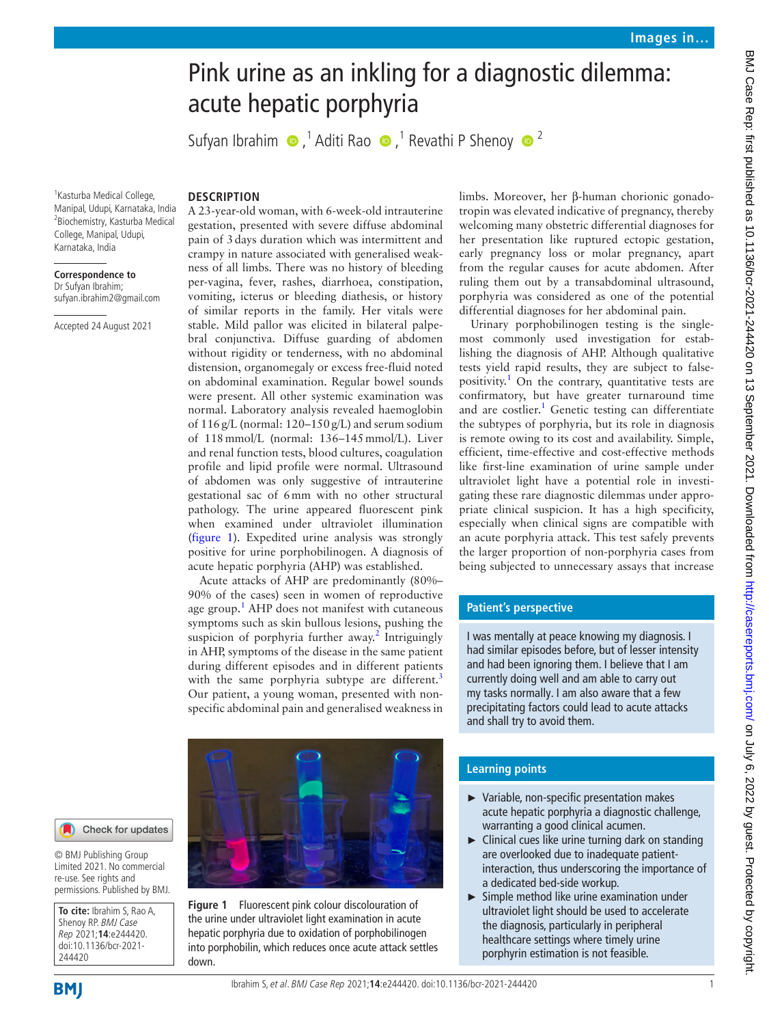# Pink urine as an inkling for a diagnostic dilemma: acute hepatic porphyria

Sufyan Ibrahim  $\bigcirc$ ,<sup>1</sup> Aditi Rao  $\bigcirc$ ,<sup>1</sup> Revathi P Shenoy  $\bigcirc$ <sup>2</sup>

<sup>1</sup> Kasturba Medical College, Manipal, Udupi, Karnataka, India 2 Biochemistry, Kasturba Medical College, Manipal, Udupi, Karnataka, India

### **Correspondence to** Dr Sufyan Ibrahim; sufyan.ibrahim2@gmail.com

Accepted 24 August 2021

# **DESCRIPTION**

A 23-year-old woman, with 6-week-old intrauterine gestation, presented with severe diffuse abdominal pain of 3days duration which was intermittent and crampy in nature associated with generalised weakness of all limbs. There was no history of bleeding per-vagina, fever, rashes, diarrhoea, constipation, vomiting, icterus or bleeding diathesis, or history of similar reports in the family. Her vitals were stable. Mild pallor was elicited in bilateral palpebral conjunctiva. Diffuse guarding of abdomen without rigidity or tenderness, with no abdominal distension, organomegaly or excess free-fluid noted on abdominal examination. Regular bowel sounds were present. All other systemic examination was normal. Laboratory analysis revealed haemoglobin of 116g/L (normal: 120–150g/L) and serum sodium of 118mmol/L (normal: 136–145mmol/L). Liver and renal function tests, blood cultures, coagulation profile and lipid profile were normal. Ultrasound of abdomen was only suggestive of intrauterine gestational sac of 6mm with no other structural pathology. The urine appeared fluorescent pink when examined under ultraviolet illumination ([figure](#page-0-0) 1). Expedited urine analysis was strongly positive for urine porphobilinogen. A diagnosis of acute hepatic porphyria (AHP) was established.

Acute attacks of AHP are predominantly (80%– 90% of the cases) seen in women of reproductive age group.<sup>[1](#page-1-0)</sup> AHP does not manifest with cutaneous symptoms such as skin bullous lesions, pushing the suspicion of porphyria further away.<sup>[2](#page-1-1)</sup> Intriguingly in AHP, symptoms of the disease in the same patient during different episodes and in different patients with the same porphyria subtype are different.<sup>[3](#page-1-2)</sup> Our patient, a young woman, presented with nonspecific abdominal pain and generalised weakness in

limbs. Moreover, her β-human chorionic gonadotropin was elevated indicative of pregnancy, thereby welcoming many obstetric differential diagnoses for her presentation like ruptured ectopic gestation, early pregnancy loss or molar pregnancy, apart from the regular causes for acute abdomen. After ruling them out by a transabdominal ultrasound, porphyria was considered as one of the potential differential diagnoses for her abdominal pain. Urinary porphobilinogen testing is the single-

most commonly used investigation for establishing the diagnosis of AHP. Although qualitative tests yield rapid results, they are subject to falsepositivity. [1](#page-1-0) On the contrary, quantitative tests are confirmatory, but have greater turnaround time and are costlier.<sup>1</sup> Genetic testing can differentiate the subtypes of porphyria, but its role in diagnosis is remote owing to its cost and availability. Simple, efficient, time-effective and cost-effective methods like first-line examination of urine sample under ultraviolet light have a potential role in investigating these rare diagnostic dilemmas under appropriate clinical suspicion. It has a high specificity, especially when clinical signs are compatible with an acute porphyria attack. This test safely prevents the larger proportion of non-porphyria cases from being subjected to unnecessary assays that increase

# **Patient's perspective**

I was mentally at peace knowing my diagnosis. I had similar episodes before, but of lesser intensity and had been ignoring them. I believe that I am currently doing well and am able to carry out my tasks normally. I am also aware that a few precipitating factors could lead to acute attacks and shall try to avoid them.

Check for updates

© BMJ Publishing Group Limited 2021. No commercial re-use. See rights and permissions. Published by BMJ.

**To cite:** Ibrahim S, Rao A, Shenoy RP. BMJ Case Rep 2021;**14**:e244420. doi:10.1136/bcr-2021- 244420

<span id="page-0-0"></span>**Figure 1** Fluorescent pink colour discolouration of the urine under ultraviolet light examination in acute hepatic porphyria due to oxidation of porphobilinogen into porphobilin, which reduces once acute attack settles down.



- ► Variable, non-specific presentation makes acute hepatic porphyria a diagnostic challenge, warranting a good clinical acumen.
- ► Clinical cues like urine turning dark on standing are overlooked due to inadequate patientinteraction, thus underscoring the importance of a dedicated bed-side workup.
- ► Simple method like urine examination under ultraviolet light should be used to accelerate the diagnosis, particularly in peripheral healthcare settings where timely urine porphyrin estimation is not feasible.

BMJ Case Rep: first published as 10.1136/bcr-2021-244420 on 13 September 2021. Downloaded from http://casereports.bmj.com/ on July 6, 2022 by guest. Protected by copyright BMJ Case Rep: first published as 10.1136/bcr-2021-244420 on 13 September 2021. Downloaded from <http://casereports.bmj.com/> on July 6, 2022 by guest. Protected by copyright.